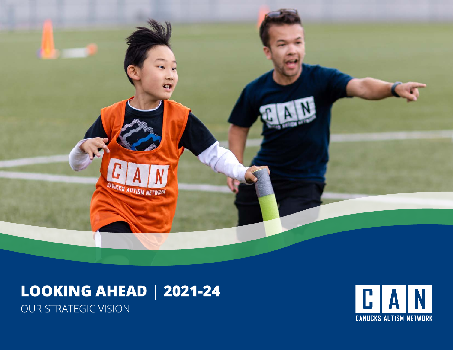

# **LOOKING AHEAD** | **2021-24** OUR STRATEGIC VISION

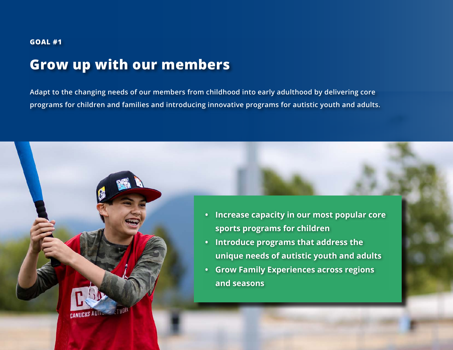#### **GOAL #1**

### **Grow up with our members**

**Adapt to the changing needs of our members from childhood into early adulthood by delivering core programs for children and families and introducing innovative programs for autistic youth and adults.** 



- **• Introduce programs that address the unique needs of autistic youth and adults**
- **• Grow Family Experiences across regions and seasons**

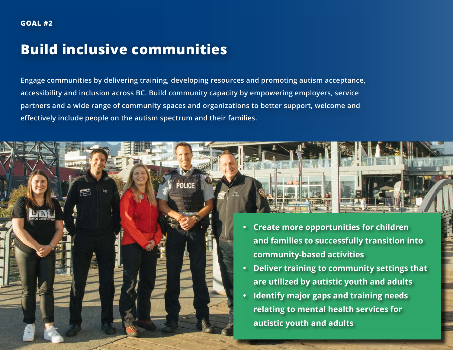## **Build inclusive communities**

**Engage communities by delivering training, developing resources and promoting autism acceptance, accessibility and inclusion across BC. Build community capacity by empowering employers, service partners and a wide range of community spaces and organizations to better support, welcome and effectively include people on the autism spectrum and their families.**

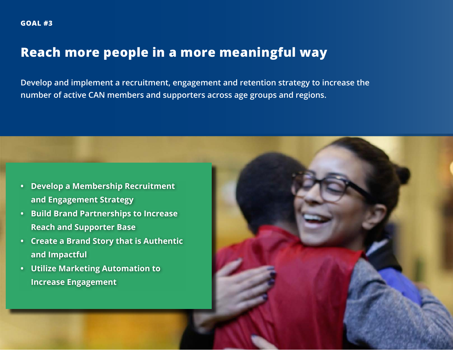#### **Reach more people in a more meaningful way**

**Develop and implement a recruitment, engagement and retention strategy to increase the number of active CAN members and supporters across age groups and regions.**

- **• Develop a Membership Recruitment and Engagement Strategy**
- **• Build Brand Partnerships to Increase Reach and Supporter Base**
- **• Create a Brand Story that is Authentic and Impactful**
- **• Utilize Marketing Automation to Increase Engagement**